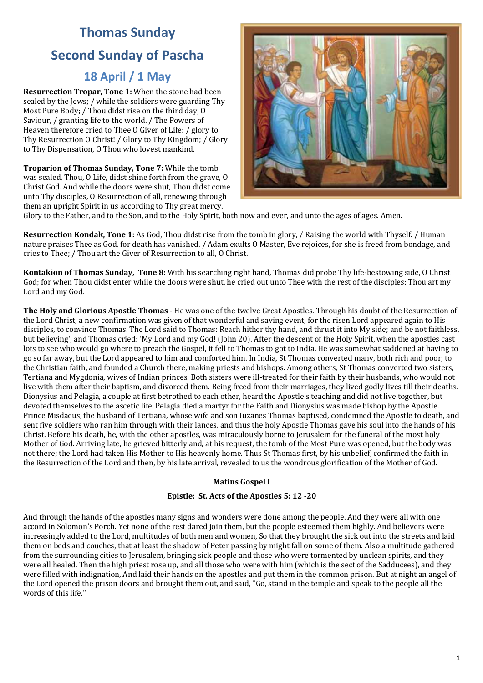# **Thomas Sunday Second Sunday of Pascha**

# **18 April / 1 May**

**Resurrection Tropar, Tone 1:** When the stone had been sealed by the Jews; / while the soldiers were guarding Thy Most Pure Body; / Thou didst rise on the third day, O Saviour, / granting life to the world. / The Powers of Heaven therefore cried to Thee O Giver of Life: / glory to Thy Resurrection O Christ! / Glory to Thy Kingdom; / Glory to Thy Dispensation, O Thou who lovest mankind.

**Troparion of Thomas Sunday, Tone 7:** While the tomb was sealed, Thou, O Life, didst shine forth from the grave, O Christ God. And while the doors were shut. Thou didst come unto Thy disciples, O Resurrection of all, renewing through them an upright Spirit in us according to Thy great mercy.



Glory to the Father, and to the Son, and to the Holy Spirit, both now and ever, and unto the ages of ages. Amen.

**Resurrection Kondak, Tone 1:** As God, Thou didst rise from the tomb in glory, / Raising the world with Thyself. / Human nature praises Thee as God, for death has vanished. / Adam exults O Master, Eve rejoices, for she is freed from bondage, and cries to Thee: / Thou art the Giver of Resurrection to all, O Christ.

**Kontakion of Thomas Sunday, Tone 8:** With his searching right hand, Thomas did probe Thy life-bestowing side, O Christ God; for when Thou didst enter while the doors were shut, he cried out unto Thee with the rest of the disciples: Thou art my Lord and my God.

**The Holy and Glorious Apostle Thomas** - He was one of the twelve Great Apostles. Through his doubt of the Resurrection of the Lord Christ, a new confirmation was given of that wonderful and saving event, for the risen Lord appeared again to His disciples, to convince Thomas. The Lord said to Thomas: Reach hither thy hand, and thrust it into My side; and be not faithless, but believing', and Thomas cried: 'My Lord and my God! (John 20). After the descent of the Holy Spirit, when the apostles cast lots to see who would go where to preach the Gospel, it fell to Thomas to got to India. He was somewhat saddened at having to go so far away, but the Lord appeared to him and comforted him. In India, St Thomas converted many, both rich and poor, to the Christian faith, and founded a Church there, making priests and bishops. Among others, St Thomas converted two sisters, Tertiana and Mygdonia, wives of Indian princes. Both sisters were ill-treated for their faith by their husbands, who would not live with them after their baptism, and divorced them. Being freed from their marriages, they lived godly lives till their deaths. Dionysius and Pelagia, a couple at first betrothed to each other, heard the Apostle's teaching and did not live together, but devoted themselves to the ascetic life. Pelagia died a martyr for the Faith and Dionysius was made bishop by the Apostle. Prince Misdaeus, the husband of Tertiana, whose wife and son Iuzanes Thomas baptised, condemned the Apostle to death, and sent five soldiers who ran him through with their lances, and thus the holy Apostle Thomas gave his soul into the hands of his Christ. Before his death, he, with the other apostles, was miraculously borne to Jerusalem for the funeral of the most holy Mother of God. Arriving late, he grieved bitterly and, at his request, the tomb of the Most Pure was opened, but the body was not there; the Lord had taken His Mother to His heavenly home. Thus St Thomas first, by his unbelief, confirmed the faith in the Resurrection of the Lord and then, by his late arrival, revealed to us the wondrous glorification of the Mother of God.

# **Matins Gospel I**

# Epistle: St. Acts of the Apostles 5: 12 -20

And through the hands of the apostles many signs and wonders were done among the people. And they were all with one accord in Solomon's Porch. Yet none of the rest dared join them, but the people esteemed them highly. And believers were increasingly added to the Lord, multitudes of both men and women, So that they brought the sick out into the streets and laid them on beds and couches, that at least the shadow of Peter passing by might fall on some of them. Also a multitude gathered from the surrounding cities to Jerusalem, bringing sick people and those who were tormented by unclean spirits, and they were all healed. Then the high priest rose up, and all those who were with him (which is the sect of the Sadducees), and they were filled with indignation, And laid their hands on the apostles and put them in the common prison. But at night an angel of the Lord opened the prison doors and brought them out, and said, "Go, stand in the temple and speak to the people all the words of this life."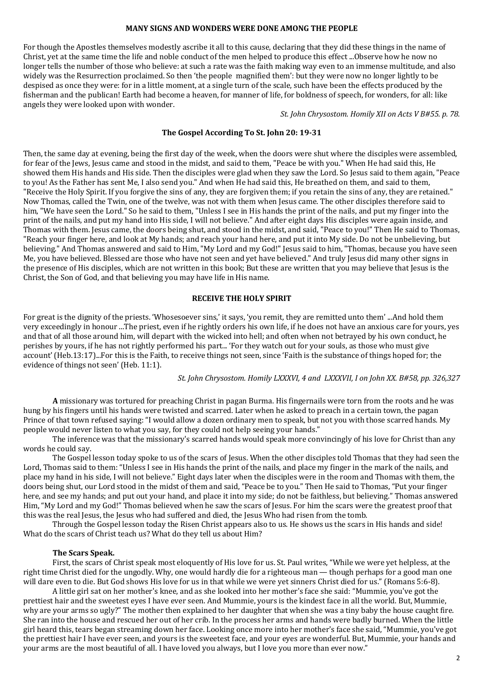## **MANY SIGNS AND WONDERS WERE DONE AMONG THE PEOPLE**

For though the Apostles themselves modestly ascribe it all to this cause, declaring that they did these things in the name of Christ, yet at the same time the life and noble conduct of the men helped to produce this effect ...Observe how he now no longer tells the number of those who believe: at such a rate was the faith making way even to an immense multitude, and also widely was the Resurrection proclaimed. So then 'the people magnified them': but they were now no longer lightly to be despised as once they were: for in a little moment, at a single turn of the scale, such have been the effects produced by the fisherman and the publican! Earth had become a heaven, for manner of life, for boldness of speech, for wonders, for all: like angels they were looked upon with wonder.

*St. John Chrysostom. Homily XII on Acts V B#55. p. 78.* 

# The Gospel According To St. John 20: 19-31

Then, the same day at evening, being the first day of the week, when the doors were shut where the disciples were assembled, for fear of the Jews, Jesus came and stood in the midst, and said to them, "Peace be with you." When He had said this, He showed them His hands and His side. Then the disciples were glad when they saw the Lord. So Jesus said to them again, "Peace to you! As the Father has sent Me, I also send you." And when He had said this, He breathed on them, and said to them, "Receive the Holy Spirit. If you forgive the sins of any, they are forgiven them; if you retain the sins of any, they are retained." Now Thomas, called the Twin, one of the twelve, was not with them when Jesus came. The other disciples therefore said to him, "We have seen the Lord." So he said to them, "Unless I see in His hands the print of the nails, and put my finger into the print of the nails, and put my hand into His side, I will not believe." And after eight days His disciples were again inside, and Thomas with them. Jesus came, the doors being shut, and stood in the midst, and said, "Peace to you!" Then He said to Thomas, "Reach your finger here, and look at My hands; and reach your hand here, and put it into My side. Do not be unbelieving, but believing." And Thomas answered and said to Him, "My Lord and my God!" Jesus said to him, "Thomas, because you have seen Me, you have believed. Blessed are those who have not seen and yet have believed." And truly Jesus did many other signs in the presence of His disciples, which are not written in this book; But these are written that you may believe that Jesus is the Christ, the Son of God, and that believing you may have life in His name.

# **RECEIVE THE HOLY SPIRIT**

For great is the dignity of the priests. 'Whosesoever sins,' it says, 'you remit, they are remitted unto them' ...And hold them very exceedingly in honour ...The priest, even if he rightly orders his own life, if he does not have an anxious care for yours, yes and that of all those around him, will depart with the wicked into hell; and often when not betrayed by his own conduct, he perishes by yours, if he has not rightly performed his part... 'For they watch out for your souls, as those who must give account' (Heb.13:17)...For this is the Faith, to receive things not seen, since 'Faith is the substance of things hoped for; the evidence of things not seen' (Heb. 11:1).

## St. John Chrysostom. Homily LXXXVI, 4 and LXXXVII, I on John XX. B#58, pp. 326,327

**A** missionary was tortured for preaching Christ in pagan Burma. His fingernails were torn from the roots and he was hung by his fingers until his hands were twisted and scarred. Later when he asked to preach in a certain town, the pagan Prince of that town refused saying: "I would allow a dozen ordinary men to speak, but not you with those scarred hands. My people would never listen to what you say, for they could not help seeing your hands."

The inference was that the missionary's scarred hands would speak more convincingly of his love for Christ than any words he could say.

The Gospel lesson today spoke to us of the scars of Jesus. When the other disciples told Thomas that they had seen the Lord, Thomas said to them: "Unless I see in His hands the print of the nails, and place my finger in the mark of the nails, and place my hand in his side, I will not believe." Eight days later when the disciples were in the room and Thomas with them, the  $\overline{\mathbf{a}}$  doors being shut, our Lord stood in the midst of them and said, "Peace be to you." Then He said to Thomas, "Put your finger here, and see my hands; and put out your hand, and place it into my side; do not be faithless, but believing." Thomas answered Him, "My Lord and my God!" Thomas believed when he saw the scars of Jesus. For him the scars were the greatest proof that this was the real Iesus, the Iesus who had suffered and died, the Iesus Who had risen from the tomb.

Through the Gospel lesson today the Risen Christ appears also to us. He shows us the scars in His hands and side! What do the scars of Christ teach us? What do they tell us about Him?

#### **The Scars Speak.**

First, the scars of Christ speak most eloquently of His love for us. St. Paul writes, "While we were yet helpless, at the right time Christ died for the ungodly. Why, one would hardly die for a righteous man — though perhaps for a good man one will dare even to die. But God shows His love for us in that while we were yet sinners Christ died for us." (Romans 5:6-8).

A little girl sat on her mother's knee, and as she looked into her mother's face she said: "Mummie, you've got the prettiest hair and the sweetest eyes I have ever seen. And Mummie, yours is the kindest face in all the world. But, Mummie, why are your arms so ugly?" The mother then explained to her daughter that when she was a tiny baby the house caught fire. She ran into the house and rescued her out of her crib. In the process her arms and hands were badly burned. When the little girl heard this, tears began streaming down her face. Looking once more into her mother's face she said, "Mummie, you've got the prettiest hair I have ever seen, and yours is the sweetest face, and your eyes are wonderful. But, Mummie, your hands and your arms are the most beautiful of all. I have loved you always, but I love you more than ever now."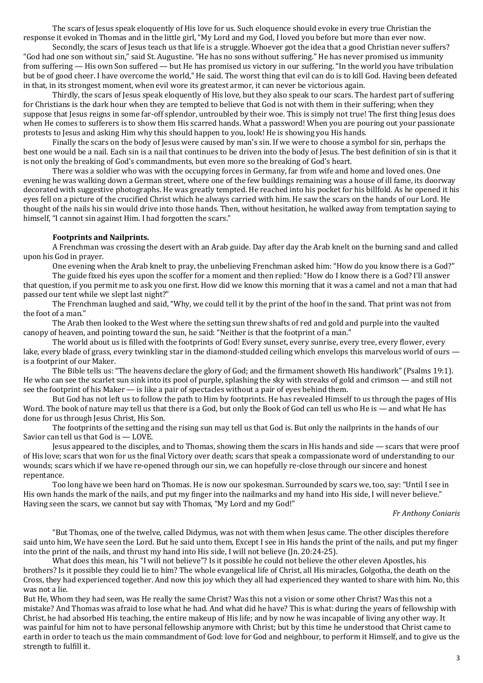The scars of Jesus speak eloquently of His love for us. Such eloquence should evoke in every true Christian the response it evoked in Thomas and in the little girl, "My Lord and my God, I loved you before but more than ever now.

Secondly, the scars of Jesus teach us that life is a struggle. Whoever got the idea that a good Christian never suffers? "God had one son without sin," said St. Augustine. "He has no sons without suffering." He has never promised us immunity from suffering — His own Son suffered — but He has promised us victory in our suffering. "In the world you have tribulation but be of good cheer. I have overcome the world," He said. The worst thing that evil can do is to kill God. Having been defeated in that, in its strongest moment, when evil wore its greatest armor, it can never be victorious again.

Thirdly, the scars of Jesus speak eloquently of His love, but they also speak to our scars. The hardest part of suffering for Christians is the dark hour when they are tempted to believe that God is not with them in their suffering; when they suppose that lesus reigns in some far-off splendor, untroubled by their woe. This is simply not true! The first thing lesus does when He comes to sufferers is to show them His scarred hands. What a password! When you are pouring out your passionate protests to Jesus and asking Him why this should happen to you, look! He is showing you His hands.

Finally the scars on the body of Jesus were caused by man's sin. If we were to choose a symbol for sin, perhaps the best one would be a nail. Each sin is a nail that continues to be driven into the body of Jesus. The best definition of sin is that it is not only the breaking of God's commandments, but even more so the breaking of God's heart.

There was a soldier who was with the occupying forces in Germany, far from wife and home and loved ones. One evening he was walking down a German street, where one of the few buildings remaining was a house of ill fame, its doorway decorated with suggestive photographs. He was greatly tempted. He reached into his pocket for his billfold. As he opened it his eyes fell on a picture of the crucified Christ which he always carried with him. He saw the scars on the hands of our Lord. He thought of the nails his sin would drive into those hands. Then, without hesitation, he walked away from temptation saying to himself. "I cannot sin against Him. I had forgotten the scars."

#### **Footprints and Nailprints.**

A Frenchman was crossing the desert with an Arab guide. Day after day the Arab knelt on the burning sand and called upon his God in prayer.

One evening when the Arab knelt to pray, the unbelieving Frenchman asked him: "How do you know there is a God?"

The guide fixed his eyes upon the scoffer for a moment and then replied: "How do I know there is a God? I'll answer that question, if you permit me to ask you one first. How did we know this morning that it was a camel and not a man that had passed our tent while we slept last night?"

The Frenchman laughed and said, "Why, we could tell it by the print of the hoof in the sand. That print was not from the foot of a man."

The Arab then looked to the West where the setting sun threw shafts of red and gold and purple into the vaulted canopy of heaven, and pointing toward the sun, he said: "Neither is that the footprint of a man."

The world about us is filled with the footprints of God! Every sunset, every sunrise, every tree, every flower, every lake, every blade of grass, every twinkling star in the diamond-studded ceiling which envelops this marvelous world of ours  $$ is a footprint of our Maker.

The Bible tells us: "The heavens declare the glory of God; and the firmament showeth His handiwork" (Psalms 19:1). He who can see the scarlet sun sink into its pool of purple, splashing the sky with streaks of gold and crimson — and still not see the footprint of his Maker — is like a pair of spectacles without a pair of eves behind them.

But God has not left us to follow the path to Him by footprints. He has revealed Himself to us through the pages of His Word. The book of nature may tell us that there is a God, but only the Book of God can tell us who He is — and what He has done for us through Jesus Christ, His Son.

The footprints of the setting and the rising sun may tell us that God is. But only the nailprints in the hands of our Savior can tell us that  $God$  is  $-$  LOVE.

Jesus appeared to the disciples, and to Thomas, showing them the scars in His hands and side — scars that were proof of His love; scars that won for us the final Victory over death; scars that speak a compassionate word of understanding to our wounds; scars which if we have re-opened through our sin, we can hopefully re-close through our sincere and honest repentance.

Too long have we been hard on Thomas. He is now our spokesman. Surrounded by scars we, too, say: "Until I see in His own hands the mark of the nails, and put my finger into the nailmarks and my hand into His side. I will never believe." Having seen the scars, we cannot but say with Thomas, "My Lord and my God!"

*Fr Anthony Coniaris*

"But Thomas, one of the twelve, called Didymus, was not with them when Jesus came. The other disciples therefore said unto him. We have seen the Lord. But he said unto them. Except I see in His hands the print of the nails, and put my finger into the print of the nails, and thrust my hand into His side, I will not believe (In. 20:24-25).

What does this mean, his "I will not believe"? Is it possible he could not believe the other eleven Apostles, his brothers? Is it possible they could lie to him? The whole evangelical life of Christ, all His miracles, Golgotha, the death on the Cross, they had experienced together. And now this joy which they all had experienced they wanted to share with him. No, this was not a lie.

But He, Whom they had seen, was He really the same Christ? Was this not a vision or some other Christ? Was this not a mistake? And Thomas was afraid to lose what he had. And what did he have? This is what: during the years of fellowship with Christ, he had absorbed His teaching, the entire makeup of His life; and by now he was incapable of living any other way. It was painful for him not to have personal fellowship anymore with Christ; but by this time he understood that Christ came to earth in order to teach us the main commandment of God: love for God and neighbour, to perform it Himself, and to give us the strength to fulfill it.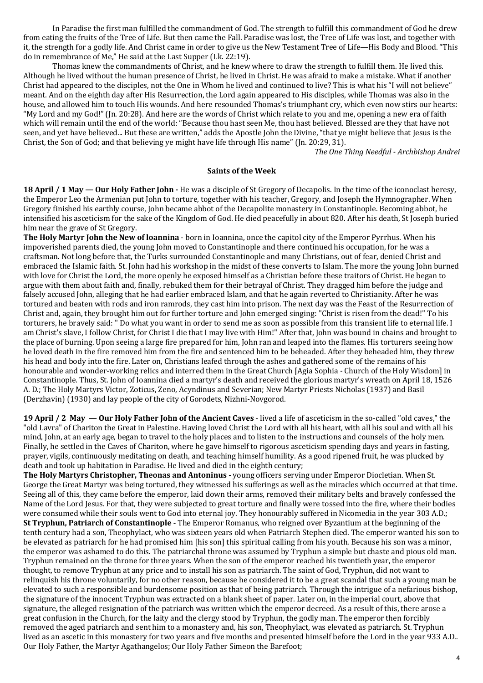In Paradise the first man fulfilled the commandment of God. The strength to fulfill this commandment of God he drew from eating the fruits of the Tree of Life. But then came the Fall. Paradise was lost, the Tree of Life was lost, and together with it, the strength for a godly life. And Christ came in order to give us the New Testament Tree of Life—His Body and Blood. "This do in remembrance of Me," He said at the Last Supper (Lk. 22:19).

Thomas knew the commandments of Christ, and he knew where to draw the strength to fulfill them. He lived this, Although he lived without the human presence of Christ, he lived in Christ. He was afraid to make a mistake. What if another Christ had appeared to the disciples, not the One in Whom he lived and continued to live? This is what his "I will not believe" meant. And on the eighth day after His Resurrection, the Lord again appeared to His disciples, while Thomas was also in the house, and allowed him to touch His wounds. And here resounded Thomas's triumphant cry, which even now stirs our hearts: "My Lord and my God!" (In. 20:28). And here are the words of Christ which relate to you and me, opening a new era of faith which will remain until the end of the world: "Because thou hast seen Me, thou hast believed. Blessed are they that have not seen, and yet have believed... But these are written," adds the Apostle John the Divine, "that ye might believe that Jesus is the Christ, the Son of God; and that believing ye might have life through His name" ( $\ln 20:29, 31$ ).

*The One Thing Needful - Archbishop Andrei*

## **Saints of the Week**

**18 April / 1 May — Our Holy Father John** - He was a disciple of St Gregory of Decapolis. In the time of the iconoclast heresy, the Emperor Leo the Armenian put John to torture, together with his teacher, Gregory, and Joseph the Hymnographer. When Gregory finished his earthly course, John became abbot of the Decapolite monastery in Constantinople. Becoming abbot, he intensified his asceticism for the sake of the Kingdom of God. He died peacefully in about 820. After his death, St Joseph buried him near the grave of St Gregory.

**The Holy Martyr John the New of loannina** - born in Ioannina, once the capitol city of the Emperor Pyrrhus. When his impoverished parents died, the young John moved to Constantinople and there continued his occupation, for he was a craftsman. Not long before that, the Turks surrounded Constantinople and many Christians, out of fear, denied Christ and embraced the Islamic faith. St. John had his workshop in the midst of these converts to Islam. The more the young John burned with love for Christ the Lord, the more openly he exposed himself as a Christian before these traitors of Christ. He began to argue with them about faith and, finally, rebuked them for their betrayal of Christ. They dragged him before the judge and falsely accused John, alleging that he had earlier embraced Islam, and that he again reverted to Christianity. After he was tortured and beaten with rods and iron ramrods, they cast him into prison. The next day was the Feast of the Resurrection of Christ and, again, they brought him out for further torture and John emerged singing: "Christ is risen from the dead!" To his torturers, he bravely said: " Do what you want in order to send me as soon as possible from this transient life to eternal life. I am Christ's slave, I follow Christ, for Christ I die that I may live with Him!" After that, John was bound in chains and brought to the place of burning. Upon seeing a large fire prepared for him, John ran and leaped into the flames. His torturers seeing how he loved death in the fire removed him from the fire and sentenced him to be beheaded. After they beheaded him, they threw his head and body into the fire. Later on, Christians leafed through the ashes and gathered some of the remains of his honourable and wonder-working relics and interred them in the Great Church [Agia Sophia - Church of the Holy Wisdom] in Constantinople. Thus, St. John of Ioannina died a martyr's death and received the glorious martyr's wreath on April 18, 1526 A. D.; The Holy Martyrs Victor, Zoticus, Zeno, Acyndinus and Severian; New Martyr Priests Nicholas (1937) and Basil (Derzhavin) (1930) and lay people of the city of Gorodets, Nizhni-Novgorod.

**19 April / 2 May — Our Holy Father John of the Ancient Caves - lived a life of asceticism in the so-called "old caves," the** "old Lavra" of Chariton the Great in Palestine. Having loved Christ the Lord with all his heart, with all his soul and with all his mind, John, at an early age, began to travel to the holy places and to listen to the instructions and counsels of the holy men. Finally, he settled in the Caves of Chariton, where he gave himself to rigorous asceticism spending days and years in fasting, prayer, vigils, continuously meditating on death, and teaching himself humility. As a good ripened fruit, he was plucked by death and took up habitation in Paradise. He lived and died in the eighth century;

**The Holy Martyrs Christopher, Theonas and Antoninus** - young officers serving under Emperor Diocletian. When St. George the Great Martyr was being tortured, they witnessed his sufferings as well as the miracles which occurred at that time. Seeing all of this, they came before the emperor, laid down their arms, removed their military belts and bravely confessed the Name of the Lord Jesus. For that, they were subjected to great torture and finally were tossed into the fire, where their bodies were consumed while their souls went to God into eternal joy. They honourably suffered in Nicomedia in the year 303 A.D.; **St Tryphun, Patriarch of Constantinople** - The Emperor Romanus, who reigned over Byzantium at the beginning of the tenth century had a son, Theophylact, who was sixteen years old when Patriarch Stephen died. The emperor wanted his son to be elevated as patriarch for he had promised him [his son] this spiritual calling from his vouth. Because his son was a minor, the emperor was ashamed to do this. The patriarchal throne was assumed by Tryphun a simple but chaste and pious old man. Tryphun remained on the throne for three years. When the son of the emperor reached his twentieth year, the emperor thought, to remove Tryphun at any price and to install his son as patriarch. The saint of God, Tryphun, did not want to relinquish his throne voluntarily, for no other reason, because he considered it to be a great scandal that such a young man be elevated to such a responsible and burdensome position as that of being patriarch. Through the intrigue of a nefarious bishop, the signature of the innocent Tryphun was extracted on a blank sheet of paper. Later on, in the imperial court, above that signature, the alleged resignation of the patriarch was written which the emperor decreed. As a result of this, there arose a great confusion in the Church, for the laity and the clergy stood by Tryphun, the godly man. The emperor then forcibly removed the aged patriarch and sent him to a monastery and, his son, Theophylact, was elevated as patriarch. St. Tryphun lived as an ascetic in this monastery for two years and five months and presented himself before the Lord in the year 933 A.D.. Our Holy Father, the Martyr Agathangelos; Our Holy Father Simeon the Barefoot;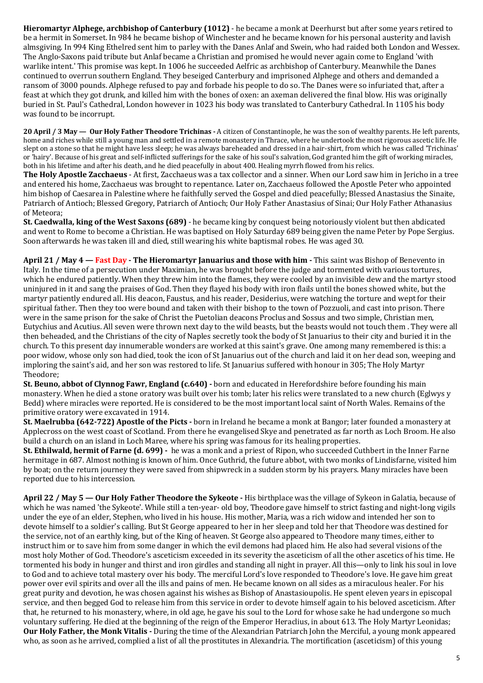**Hieromartyr Alphege, archbishop of Canterbury (1012)** - he became a monk at Deerhurst but after some years retired to be a hermit in Somerset. In 984 he became bishop of Winchester and he became known for his personal austerity and lavish almsgiving. In 994 King Ethelred sent him to parley with the Danes Anlaf and Swein, who had raided both London and Wessex. The Anglo-Saxons paid tribute but Anlaf became a Christian and promised he would never again come to England 'with warlike intent.' This promise was kept. In 1006 he succeeded Aelfric as archbishop of Canterbury. Meanwhile the Danes continued to overrun southern England. They beseiged Canterbury and imprisoned Alphege and others and demanded a ransom of 3000 pounds. Alphege refused to pay and forbade his people to do so. The Danes were so infuriated that, after a feast at which they got drunk, and killed him with the bones of oxen: an axeman delivered the final blow. His was originally buried in St. Paul's Cathedral, London however in 1023 his body was translated to Canterbury Cathedral. In 1105 his body was found to be incorrupt.

**20 April / 3 May — Our Holy Father Theodore Trichinas** - A citizen of Constantinople, he was the son of wealthy parents. He left parents, home and riches while still a young man and settled in a remote monastery in Thrace, where he undertook the most rigorous ascetic life. He slept on a stone so that he might have less sleep; he was always bareheaded and dressed in a hair-shirt, from which he was called 'Trichinas' or 'hairy'. Because of his great and self-inflicted sufferings for the sake of his soul's salvation, God granted him the gift of working miracles, both in his lifetime and after his death, and he died peacefully in about 400. Healing myrrh flowed from his relics.

**The Holy Apostle Zacchaeus** - At first, Zacchaeus was a tax collector and a sinner. When our Lord saw him in Jericho in a tree and entered his home, Zacchaeus was brought to repentance. Later on, Zacchaeus followed the Apostle Peter who appointed him bishop of Caesarea in Palestine where he faithfully served the Gospel and died peacefully; Blessed Anastasius the Sinaite, Patriarch of Antioch; Blessed Gregory, Patriarch of Antioch; Our Holy Father Anastasius of Sinai; Our Holy Father Athanasius of Meteora:

**St. Caedwalla, king of the West Saxons (689)** - he became king by conquest being notoriously violent but then abdicated and went to Rome to become a Christian. He was baptised on Holy Saturday 689 being given the name Peter by Pope Sergius. Soon afterwards he was taken ill and died, still wearing his white baptismal robes. He was aged 30.

April 21 / May 4 – Fast Day - The Hieromartyr Januarius and those with him - This saint was Bishop of Benevento in Italy. In the time of a persecution under Maximian, he was brought before the judge and tormented with various tortures, which he endured patiently. When they threw him into the flames, they were cooled by an invisible dew and the martyr stood uninjured in it and sang the praises of God. Then they flayed his body with iron flails until the bones showed white, but the martyr patiently endured all. His deacon, Faustus, and his reader, Desiderius, were watching the torture and wept for their spiritual father. Then they too were bound and taken with their bishop to the town of Pozzuoli, and cast into prison. There were in the same prison for the sake of Christ the Puetolian deacons Proclus and Sossus and two simple, Christian men, Eutychius and Acutius. All seven were thrown next day to the wild beasts, but the beasts would not touch them . They were all then beheaded, and the Christians of the city of Naples secretly took the body of St Januarius to their city and buried it in the church. To this present day innumerable wonders are worked at this saint's grave. One among many remembered is this: a poor widow, whose only son had died, took the icon of St Januarius out of the church and laid it on her dead son, weeping and imploring the saint's aid, and her son was restored to life. St Januarius suffered with honour in 305; The Holy Martyr Theodore; 

**St. Beuno, abbot of Clynnog Fawr, England (c.640)** - born and educated in Herefordshire before founding his main monastery. When he died a stone oratory was built over his tomb; later his relics were translated to a new church (Eglwys y Bedd) where miracles were reported. He is considered to be the most important local saint of North Wales. Remains of the primitive oratory were excavated in 1914.

**St. Maelrubba (642-722) Apostle of the Picts** - born in Ireland he became a monk at Bangor; later founded a monastery at Applecross on the west coast of Scotland. From there he evangelised Skye and penetrated as far north as Loch Broom. He also build a church on an island in Loch Maree, where his spring was famous for its healing properties.

**St. Ethilwald, hermit of Farne (d. 699)** - he was a monk and a priest of Ripon, who succeeded Cuthbert in the Inner Farne hermitage in 687. Almost nothing is known of him. Once Guthrid, the future abbot, with two monks of Lindisfarne, visited him by boat; on the return journey they were saved from shipwreck in a sudden storm by his prayers. Many miracles have been reported due to his intercession.

**April 22 / May 5 — Our Holy Father Theodore the Sykeote** - His birthplace was the village of Sykeon in Galatia, because of which he was named 'the Sykeote'. While still a ten-year- old boy, Theodore gave himself to strict fasting and night-long vigils under the eye of an elder, Stephen, who lived in his house. His mother, Maria, was a rich widow and intended her son to devote himself to a soldier's calling. But St George appeared to her in her sleep and told her that Theodore was destined for the service, not of an earthly king, but of the King of heaven. St George also appeared to Theodore many times, either to instruct him or to save him from some danger in which the evil demons had placed him. He also had several visions of the most holy Mother of God. Theodore's asceticism exceeded in its severity the asceticism of all the other ascetics of his time. He tormented his body in hunger and thirst and iron girdles and standing all night in prayer. All this—only to link his soul in love to God and to achieve total mastery over his body. The merciful Lord's love responded to Theodore's love. He gave him great power over evil spirits and over all the ills and pains of men. He became known on all sides as a miraculous healer. For his great purity and devotion, he was chosen against his wishes as Bishop of Anastasioupolis. He spent eleven years in episcopal service, and then begged God to release him from this service in order to devote himself again to his beloved asceticism. After that, he returned to his monastery, where, in old age, he gave his soul to the Lord for whose sake he had undergone so much voluntary suffering. He died at the beginning of the reign of the Emperor Heraclius, in about 613. The Holy Martyr Leonidas; **Our Holy Father, the Monk Vitalis -** During the time of the Alexandrian Patriarch John the Merciful, a young monk appeared who, as soon as he arrived, complied a list of all the prostitutes in Alexandria. The mortification (asceticism) of this young